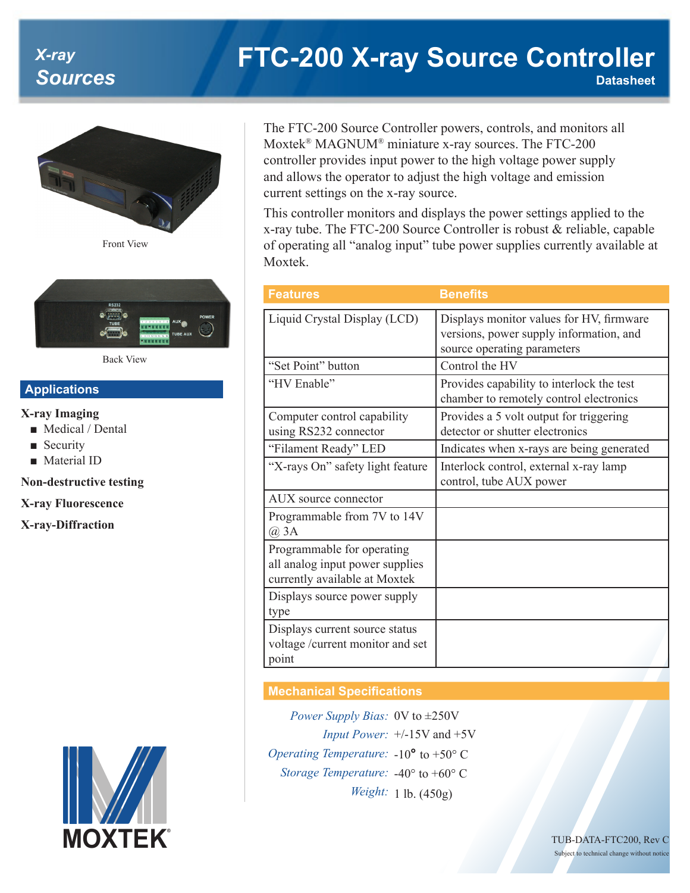# *X-ray Sources*

# **FTC-200 X-ray Source Controller Datasheet**



Front View



Back View

## **Applications**

#### **X-ray Imaging**

- Medical / Dental
- Security
- Material ID

#### **Non-destructive testing**

**X-ray Fluorescence**

**X-ray-Diffraction**



The FTC-200 Source Controller powers, controls, and monitors all Moxtek® MAGNUM® miniature x-ray sources. The FTC-200 controller provides input power to the high voltage power supply and allows the operator to adjust the high voltage and emission current settings on the x-ray source.

This controller monitors and displays the power settings applied to the x-ray tube. The FTC-200 Source Controller is robust & reliable, capable of operating all "analog input" tube power supplies currently available at Moxtek.

| <b>Features</b>                                                                                | <b>Benefits</b>                                                                                                    |
|------------------------------------------------------------------------------------------------|--------------------------------------------------------------------------------------------------------------------|
| Liquid Crystal Display (LCD)                                                                   | Displays monitor values for HV, firmware<br>versions, power supply information, and<br>source operating parameters |
| "Set Point" button                                                                             | Control the HV                                                                                                     |
| "HV Enable"                                                                                    | Provides capability to interlock the test<br>chamber to remotely control electronics                               |
| Computer control capability<br>using RS232 connector                                           | Provides a 5 volt output for triggering<br>detector or shutter electronics                                         |
| "Filament Ready" LED                                                                           | Indicates when x-rays are being generated                                                                          |
| "X-rays On" safety light feature                                                               | Interlock control, external x-ray lamp<br>control, tube AUX power                                                  |
| AUX source connector                                                                           |                                                                                                                    |
| Programmable from 7V to 14V<br>$\omega$ 3A                                                     |                                                                                                                    |
| Programmable for operating<br>all analog input power supplies<br>currently available at Moxtek |                                                                                                                    |
| Displays source power supply<br>type                                                           |                                                                                                                    |
| Displays current source status<br>voltage /current monitor and set<br>point                    |                                                                                                                    |

### **Mechanical Specifications**

*Power Supply Bias:* 0V to ±250V *Input Power:* +/-15V and +5V *Operating Temperature:* -10**°** to +50° C *Storage Temperature:* -40° to +60° C *Weight:* 1 lb. (450g)

> TUB-DATA-FTC200, Rev C Subject to technical change without notice